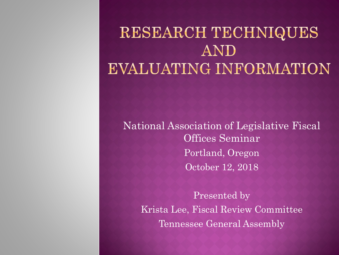### RESEARCH TECHNIQUES AND **EVALUATING INFORMATION**

National Association of Legislative Fiscal Offices Seminar Portland, Oregon October 12, 2018

Presented by Krista Lee, Fiscal Review Committee Tennessee General Assembly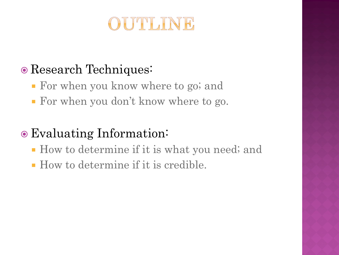

#### Research Techniques:

- For when you know where to go; and
- For when you don't know where to go.

### Evaluating Information:

- How to determine if it is what you need; and
- How to determine if it is credible.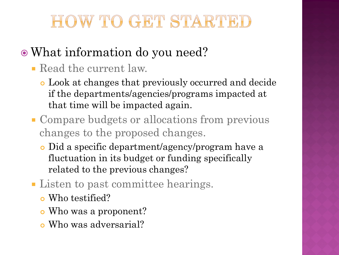## HOW TO GET STARTED

### What information do you need?

- Read the current law.
	- Look at changes that previously occurred and decide if the departments/agencies/programs impacted at that time will be impacted again.
- Compare budgets or allocations from previous changes to the proposed changes.
	- Did a specific department/agency/program have a fluctuation in its budget or funding specifically related to the previous changes?
- **Listen to past committee hearings.** 
	- Who testified?
	- Who was a proponent?
	- Who was adversarial?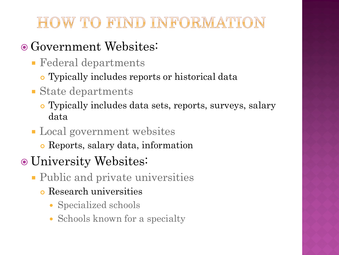### HOW TO FIND INFORMATION

#### • Government Websites:

- Federal departments
	- Typically includes reports or historical data
- State departments
	- Typically includes data sets, reports, surveys, salary data
- Local government websites
	- Reports, salary data, information
- University Websites:
	- Public and private universities
		- Research universities
			- Specialized schools
			- Schools known for a specialty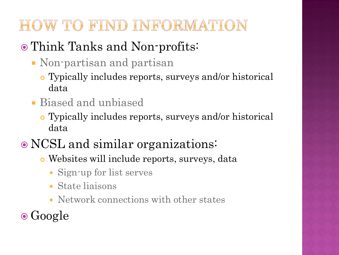### HOW TO FIND INFORMATION

### • Think Tanks and Non-profits:

- Non-partisan and partisan
	- Typically includes reports, surveys and/or historical data
- Biased and unbiased
	- Typically includes reports, surveys and/or historical data
- NCSL and similar organizations:
	- Websites will include reports, surveys, data
		- Sign-up for list serves
		- State liaisons
		- Network connections with other states
- **⊙**Google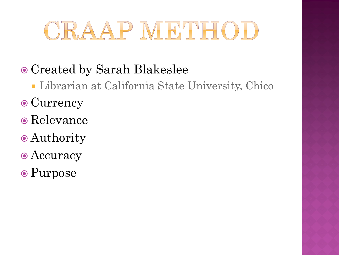## CRAAP METHOD

### Created by Sarah Blakeslee

- Librarian at California State University, Chico
- Currency
- Relevance
- Authority
- Accuracy
- Purpose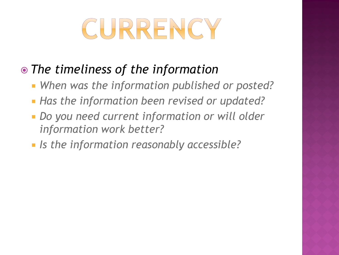# CURRENCY

#### *The timeliness of the information*

- *When was the information published or posted?*
- *Has the information been revised or updated?*
- *Do you need current information or will older information work better?*
- *Is the information reasonably accessible?*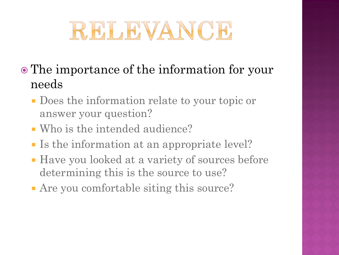## RELEVANCE

- The importance of the information for your needs
	- Does the information relate to your topic or answer your question?
	- Who is the intended audience?
	- Is the information at an appropriate level?
	- Have you looked at a variety of sources before determining this is the source to use?
	- Are you comfortable siting this source?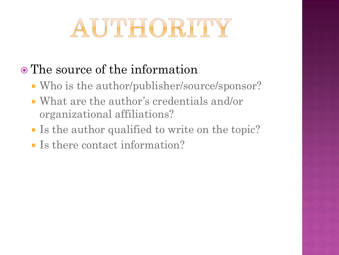## AUTHORITY

### The source of the information

- Who is the author/publisher/source/sponsor?
- What are the author's credentials and/or organizational affiliations?
- If Is the author qualified to write on the topic?
- Is there contact information?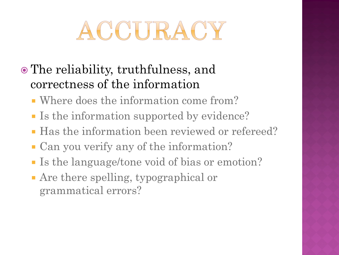## ACCURACY

- The reliability, truthfulness, and correctness of the information
	- Where does the information come from?
	- Is the information supported by evidence?
	- Has the information been reviewed or refereed?
	- Can you verify any of the information?
	- Is the language/tone void of bias or emotion?
	- Are there spelling, typographical or grammatical errors?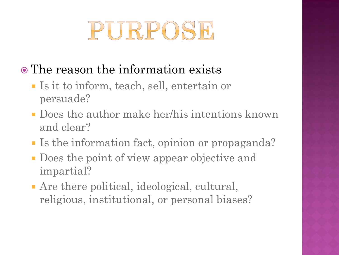## PURPOSE

- The reason the information exists
	- Is it to inform, teach, sell, entertain or persuade?
	- Does the author make her/his intentions known and clear?
	- Is the information fact, opinion or propaganda?
	- Does the point of view appear objective and impartial?
	- Are there political, ideological, cultural, religious, institutional, or personal biases?